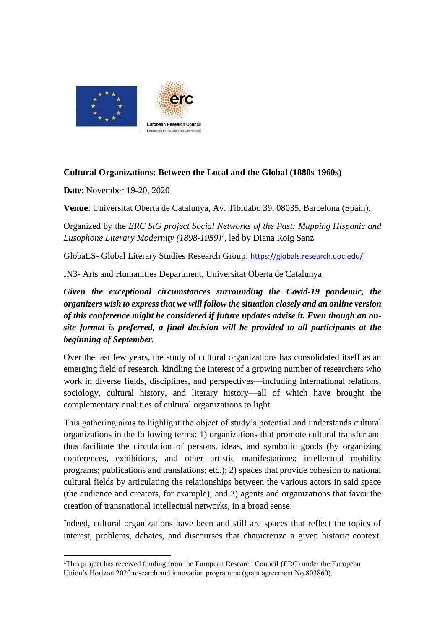

## **Cultural Organizations: Between the Local and the Global (1880s-1960s)**

**Date**: November 19-20, 2020

**Venue**: Universitat Oberta de Catalunya, Av. Tibidabo 39, 08035, Barcelona (Spain).

Organized by the *ERC StG project Social Networks of the Past: Mapping Hispanic and Lusophone Literary Modernity (1898-1959)<sup>1</sup>* , led by Diana Roig Sanz.

GlobaLS- Global Literary Studies Research Group: <https://globals.research.uoc.edu/>

IN3- Arts and Humanities Department, Universitat Oberta de Catalunya.

*Given the exceptional circumstances surrounding the Covid-19 pandemic, the organizers wish to express that we will follow the situation closely and an online version of this conference might be considered if future updates advise it. Even though an onsite format is preferred, a final decision will be provided to all participants at the beginning of September.* 

Over the last few years, the study of cultural organizations has consolidated itself as an emerging field of research, kindling the interest of a growing number of researchers who work in diverse fields, disciplines, and perspectives—including international relations, sociology, cultural history, and literary history—all of which have brought the complementary qualities of cultural organizations to light.

This gathering aims to highlight the object of study's potential and understands cultural organizations in the following terms: 1) organizations that promote cultural transfer and thus facilitate the circulation of persons, ideas, and symbolic goods (by organizing conferences, exhibitions, and other artistic manifestations; intellectual mobility programs; publications and translations; etc.); 2) spaces that provide cohesion to national cultural fields by articulating the relationships between the various actors in said space (the audience and creators, for example); and 3) agents and organizations that favor the creation of transnational intellectual networks, in a broad sense.

Indeed, cultural organizations have been and still are spaces that reflect the topics of interest, problems, debates, and discourses that characterize a given historic context.

<sup>&</sup>lt;sup>1</sup>This project has received funding from the European Research Council (ERC) under the European Union's Horizon 2020 research and innovation programme (grant agreement No 803860).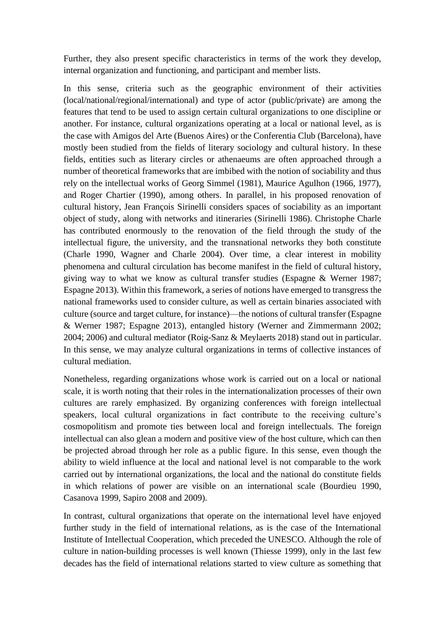Further, they also present specific characteristics in terms of the work they develop, internal organization and functioning, and participant and member lists.

In this sense, criteria such as the geographic environment of their activities (local/national/regional/international) and type of actor (public/private) are among the features that tend to be used to assign certain cultural organizations to one discipline or another. For instance, cultural organizations operating at a local or national level, as is the case with Amigos del Arte (Buenos Aires) or the Conferentia Club (Barcelona), have mostly been studied from the fields of literary sociology and cultural history. In these fields, entities such as literary circles or athenaeums are often approached through a number of theoretical frameworks that are imbibed with the notion of sociability and thus rely on the intellectual works of Georg Simmel (1981), Maurice Agulhon (1966, 1977), and Roger Chartier (1990), among others. In parallel, in his proposed renovation of cultural history, Jean François Sirinelli considers spaces of sociability as an important object of study, along with networks and itineraries (Sirinelli 1986). Christophe Charle has contributed enormously to the renovation of the field through the study of the intellectual figure, the university, and the transnational networks they both constitute (Charle 1990, Wagner and Charle 2004). Over time, a clear interest in mobility phenomena and cultural circulation has become manifest in the field of cultural history, giving way to what we know as cultural transfer studies (Espagne & Werner 1987; Espagne 2013). Within this framework, a series of notions have emerged to transgress the national frameworks used to consider culture, as well as certain binaries associated with culture (source and target culture, for instance)—the notions of cultural transfer (Espagne & Werner 1987; Espagne 2013), entangled history (Werner and Zimmermann 2002; 2004; 2006) and cultural mediator (Roig-Sanz & Meylaerts 2018) stand out in particular. In this sense, we may analyze cultural organizations in terms of collective instances of cultural mediation.

Nonetheless, regarding organizations whose work is carried out on a local or national scale, it is worth noting that their roles in the internationalization processes of their own cultures are rarely emphasized. By organizing conferences with foreign intellectual speakers, local cultural organizations in fact contribute to the receiving culture's cosmopolitism and promote ties between local and foreign intellectuals. The foreign intellectual can also glean a modern and positive view of the host culture, which can then be projected abroad through her role as a public figure. In this sense, even though the ability to wield influence at the local and national level is not comparable to the work carried out by international organizations, the local and the national do constitute fields in which relations of power are visible on an international scale (Bourdieu 1990, Casanova 1999, Sapiro 2008 and 2009).

In contrast, cultural organizations that operate on the international level have enjoyed further study in the field of international relations, as is the case of the International Institute of Intellectual Cooperation, which preceded the UNESCO. Although the role of culture in nation-building processes is well known (Thiesse 1999), only in the last few decades has the field of international relations started to view culture as something that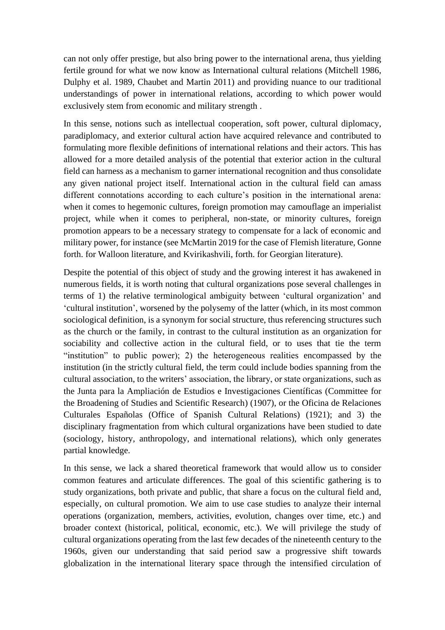can not only offer prestige, but also bring power to the international arena, thus yielding fertile ground for what we now know as International cultural relations (Mitchell 1986, Dulphy et al. 1989, Chaubet and Martin 2011) and providing nuance to our traditional understandings of power in international relations, according to which power would exclusively stem from economic and military strength .

In this sense, notions such as intellectual cooperation, soft power, cultural diplomacy, paradiplomacy, and exterior cultural action have acquired relevance and contributed to formulating more flexible definitions of international relations and their actors. This has allowed for a more detailed analysis of the potential that exterior action in the cultural field can harness as a mechanism to garner international recognition and thus consolidate any given national project itself. International action in the cultural field can amass different connotations according to each culture's position in the international arena: when it comes to hegemonic cultures, foreign promotion may camouflage an imperialist project, while when it comes to peripheral, non-state, or minority cultures, foreign promotion appears to be a necessary strategy to compensate for a lack of economic and military power, for instance (see McMartin 2019 for the case of Flemish literature, Gonne forth. for Walloon literature, and Kvirikashvili, forth. for Georgian literature).

Despite the potential of this object of study and the growing interest it has awakened in numerous fields, it is worth noting that cultural organizations pose several challenges in terms of 1) the relative terminological ambiguity between 'cultural organization' and 'cultural institution', worsened by the polysemy of the latter (which, in its most common sociological definition, is a synonym for social structure, thus referencing structures such as the church or the family, in contrast to the cultural institution as an organization for sociability and collective action in the cultural field, or to uses that tie the term "institution" to public power); 2) the heterogeneous realities encompassed by the institution (in the strictly cultural field, the term could include bodies spanning from the cultural association, to the writers' association, the library, or state organizations, such as the Junta para la Ampliación de Estudios e Investigaciones Científicas (Committee for the Broadening of Studies and Scientific Research) (1907), or the Oficina de Relaciones Culturales Españolas (Office of Spanish Cultural Relations) (1921); and 3) the disciplinary fragmentation from which cultural organizations have been studied to date (sociology, history, anthropology, and international relations), which only generates partial knowledge.

In this sense, we lack a shared theoretical framework that would allow us to consider common features and articulate differences. The goal of this scientific gathering is to study organizations, both private and public, that share a focus on the cultural field and, especially, on cultural promotion. We aim to use case studies to analyze their internal operations (organization, members, activities, evolution, changes over time, etc.) and broader context (historical, political, economic, etc.). We will privilege the study of cultural organizations operating from the last few decades of the nineteenth century to the 1960s, given our understanding that said period saw a progressive shift towards globalization in the international literary space through the intensified circulation of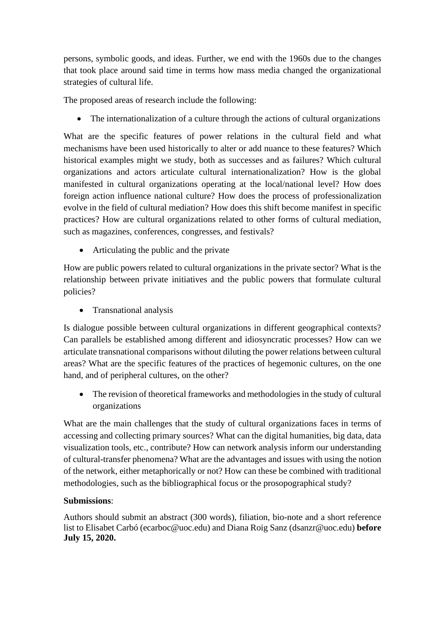persons, symbolic goods, and ideas. Further, we end with the 1960s due to the changes that took place around said time in terms how mass media changed the organizational strategies of cultural life.

The proposed areas of research include the following:

• The internationalization of a culture through the actions of cultural organizations

What are the specific features of power relations in the cultural field and what mechanisms have been used historically to alter or add nuance to these features? Which historical examples might we study, both as successes and as failures? Which cultural organizations and actors articulate cultural internationalization? How is the global manifested in cultural organizations operating at the local/national level? How does foreign action influence national culture? How does the process of professionalization evolve in the field of cultural mediation? How does this shift become manifest in specific practices? How are cultural organizations related to other forms of cultural mediation, such as magazines, conferences, congresses, and festivals?

• Articulating the public and the private

How are public powers related to cultural organizations in the private sector? What is the relationship between private initiatives and the public powers that formulate cultural policies?

• Transnational analysis

Is dialogue possible between cultural organizations in different geographical contexts? Can parallels be established among different and idiosyncratic processes? How can we articulate transnational comparisons without diluting the power relations between cultural areas? What are the specific features of the practices of hegemonic cultures, on the one hand, and of peripheral cultures, on the other?

• The revision of theoretical frameworks and methodologies in the study of cultural organizations

What are the main challenges that the study of cultural organizations faces in terms of accessing and collecting primary sources? What can the digital humanities, big data, data visualization tools, etc., contribute? How can network analysis inform our understanding of cultural-transfer phenomena? What are the advantages and issues with using the notion of the network, either metaphorically or not? How can these be combined with traditional methodologies, such as the bibliographical focus or the prosopographical study?

## **Submissions**:

Authors should submit an abstract (300 words), filiation, bio-note and a short reference list to Elisabet Carbó (ecarboc@uoc.edu) and Diana Roig Sanz (dsanzr@uoc.edu) **before July 15, 2020.**